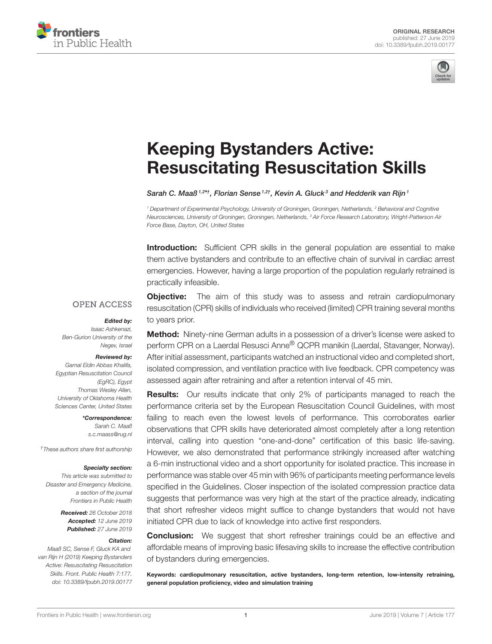



# Keeping Bystanders Active: [Resuscitating Resuscitation Skills](https://www.frontiersin.org/articles/10.3389/fpubh.2019.00177/full)

[Sarah C. Maaß](http://loop.frontiersin.org/people/619883/overview)<sup>1,2\*†</sup>, [Florian Sense](http://loop.frontiersin.org/people/416797/overview)<sup>1,2†</sup>, [Kevin A. Gluck](http://loop.frontiersin.org/people/756987/overview)<sup>3</sup> and [Hedderik van Rijn](http://loop.frontiersin.org/people/25165/overview)<sup>1</sup>

*<sup>1</sup> Department of Experimental Psychology, University of Groningen, Groningen, Netherlands, <sup>2</sup> Behavioral and Cognitive Neurosciences, University of Groningen, Groningen, Netherlands, <sup>3</sup> Air Force Research Laboratory, Wright-Patterson Air Force Base, Dayton, OH, United States*

**Introduction:** Sufficient CPR skills in the general population are essential to make them active bystanders and contribute to an effective chain of survival in cardiac arrest emergencies. However, having a large proportion of the population regularly retrained is practically infeasible.

### **OPEN ACCESS**

### Edited by:

*Isaac Ashkenazi, Ben-Gurion University of the Negev, Israel*

### Reviewed by:

*Gamal Eldin Abbas Khalifa, Egyptian Resuscitation Council (EgRC), Egypt Thomas Wesley Allen, University of Oklahoma Health Sciences Center, United States*

> \*Correspondence: *Sarah C. Maaß [s.c.maass@rug.nl](mailto:s.c.maass@rug.nl)*

*†These authors share first authorship*

#### Specialty section:

*This article was submitted to Disaster and Emergency Medicine, a section of the journal Frontiers in Public Health*

> Received: *26 October 2018* Accepted: *12 June 2019* Published: *27 June 2019*

### Citation:

*Maaß SC, Sense F, Gluck KA and van Rijn H (2019) Keeping Bystanders Active: Resuscitating Resuscitation Skills. Front. Public Health 7:177. doi: [10.3389/fpubh.2019.00177](https://doi.org/10.3389/fpubh.2019.00177)*

**Objective:** The aim of this study was to assess and retrain cardiopulmonary resuscitation (CPR) skills of individuals who received (limited) CPR training several months to years prior.

Method: Ninety-nine German adults in a possession of a driver's license were asked to perform CPR on a Laerdal Resusci Anne® QCPR manikin (Laerdal, Stavanger, Norway). After initial assessment, participants watched an instructional video and completed short, isolated compression, and ventilation practice with live feedback. CPR competency was assessed again after retraining and after a retention interval of 45 min.

**Results:** Our results indicate that only 2% of participants managed to reach the performance criteria set by the European Resuscitation Council Guidelines, with most failing to reach even the lowest levels of performance. This corroborates earlier observations that CPR skills have deteriorated almost completely after a long retention interval, calling into question "one-and-done" certification of this basic life-saving. However, we also demonstrated that performance strikingly increased after watching a 6-min instructional video and a short opportunity for isolated practice. This increase in performance was stable over 45 min with 96% of participants meeting performance levels specified in the Guidelines. Closer inspection of the isolated compression practice data suggests that performance was very high at the start of the practice already, indicating that short refresher videos might suffice to change bystanders that would not have initiated CPR due to lack of knowledge into active first responders.

**Conclusion:** We suggest that short refresher trainings could be an effective and affordable means of improving basic lifesaving skills to increase the effective contribution of bystanders during emergencies.

Keywords: cardiopulmonary resuscitation, active bystanders, long-term retention, low-intensity retraining, general population proficiency, video and simulation training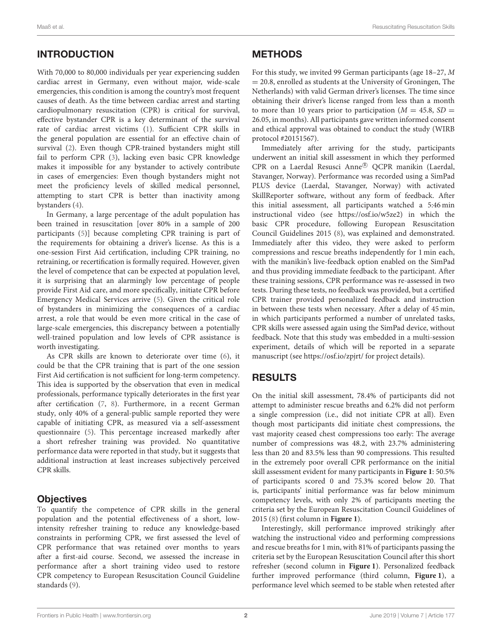# INTRODUCTION

With 70,000 to 80,000 individuals per year experiencing sudden cardiac arrest in Germany, even without major, wide-scale emergencies, this condition is among the country's most frequent causes of death. As the time between cardiac arrest and starting cardiopulmonary resuscitation (CPR) is critical for survival, effective bystander CPR is a key determinant of the survival rate of cardiac arrest victims [\(1\)](#page-4-0). Sufficient CPR skills in the general population are essential for an effective chain of survival [\(2\)](#page-4-1). Even though CPR-trained bystanders might still fail to perform CPR [\(3\)](#page-4-2), lacking even basic CPR knowledge makes it impossible for any bystander to actively contribute in cases of emergencies: Even though bystanders might not meet the proficiency levels of skilled medical personnel, attempting to start CPR is better than inactivity among bystanders [\(4\)](#page-4-3).

In Germany, a large percentage of the adult population has been trained in resuscitation [over 80% in a sample of 200 participants [\(5\)](#page-4-4)] because completing CPR training is part of the requirements for obtaining a driver's license. As this is a one-session First Aid certification, including CPR training, no retraining, or recertification is formally required. However, given the level of competence that can be expected at population level, it is surprising that an alarmingly low percentage of people provide First Aid care, and more specifically, initiate CPR before Emergency Medical Services arrive [\(5\)](#page-4-4). Given the critical role of bystanders in minimizing the consequences of a cardiac arrest, a role that would be even more critical in the case of large-scale emergencies, this discrepancy between a potentially well-trained population and low levels of CPR assistance is worth investigating.

As CPR skills are known to deteriorate over time [\(6\)](#page-4-5), it could be that the CPR training that is part of the one session First Aid certification is not sufficient for long-term competency. This idea is supported by the observation that even in medical professionals, performance typically deteriorates in the first year after certification [\(7,](#page-4-6) [8\)](#page-4-7). Furthermore, in a recent German study, only 40% of a general-public sample reported they were capable of initiating CPR, as measured via a self-assessment questionnaire [\(5\)](#page-4-4). This percentage increased markedly after a short refresher training was provided. No quantitative performance data were reported in that study, but it suggests that additional instruction at least increases subjectively perceived CPR skills.

# **Objectives**

To quantify the competence of CPR skills in the general population and the potential effectiveness of a short, lowintensity refresher training to reduce any knowledge-based constraints in performing CPR, we first assessed the level of CPR performance that was retained over months to years after a first-aid course. Second, we assessed the increase in performance after a short training video used to restore CPR competency to European Resuscitation Council Guideline standards [\(9\)](#page-4-8).

# **METHODS**

For this study, we invited 99 German participants (age 18–27, M  $= 20.8$ , enrolled as students at the University of Groningen, The Netherlands) with valid German driver's licenses. The time since obtaining their driver's license ranged from less than a month to more than 10 years prior to participation ( $M = 45.8$ ,  $SD =$ 26.05, in months). All participants gave written informed consent and ethical approval was obtained to conduct the study (WIRB protocol #20151567).

Immediately after arriving for the study, participants underwent an initial skill assessment in which they performed CPR on a Laerdal Resusci Anne<sup>®</sup> QCPR manikin (Laerdal, Stavanger, Norway). Performance was recorded using a SimPad PLUS device (Laerdal, Stavanger, Norway) with activated SkillReporter software, without any form of feedback. After this initial assessment, all participants watched a 5:46 min instructional video (see [https://osf.io/w5ze2\)](https://osf.io/w5ze2) in which the basic CPR procedure, following European Resuscitation Council Guidelines 2015 [\(8\)](#page-4-7), was explained and demonstrated. Immediately after this video, they were asked to perform compressions and rescue breaths independently for 1 min each, with the manikin's live-feedback option enabled on the SimPad and thus providing immediate feedback to the participant. After these training sessions, CPR performance was re-assessed in two tests. During these tests, no feedback was provided, but a certified CPR trainer provided personalized feedback and instruction in between these tests when necessary. After a delay of 45 min, in which participants performed a number of unrelated tasks, CPR skills were assessed again using the SimPad device, without feedback. Note that this study was embedded in a multi-session experiment, details of which will be reported in a separate manuscript (see<https://osf.io/zpjrt/> for project details).

# RESULTS

On the initial skill assessment, 78.4% of participants did not attempt to administer rescue breaths and 6.2% did not perform a single compression (i.e., did not initiate CPR at all). Even though most participants did initiate chest compressions, the vast majority ceased chest compressions too early: The average number of compressions was 48.2, with 23.7% administering less than 20 and 83.5% less than 90 compressions. This resulted in the extremely poor overall CPR performance on the initial skill assessment evident for many participants in **[Figure 1](#page-2-0)**: 50.5% of participants scored 0 and 75.3% scored below 20. That is, participants' initial performance was far below minimum competency levels, with only 2% of participants meeting the criteria set by the European Resuscitation Council Guidelines of 2015 [\(8\)](#page-4-7) (first column in **[Figure 1](#page-2-0)**).

Interestingly, skill performance improved strikingly after watching the instructional video and performing compressions and rescue breaths for 1 min, with 81% of participants passing the criteria set by the European Resuscitation Council after this short refresher (second column in **[Figure 1](#page-2-0)**). Personalized feedback further improved performance (third column, **[Figure 1](#page-2-0)**), a performance level which seemed to be stable when retested after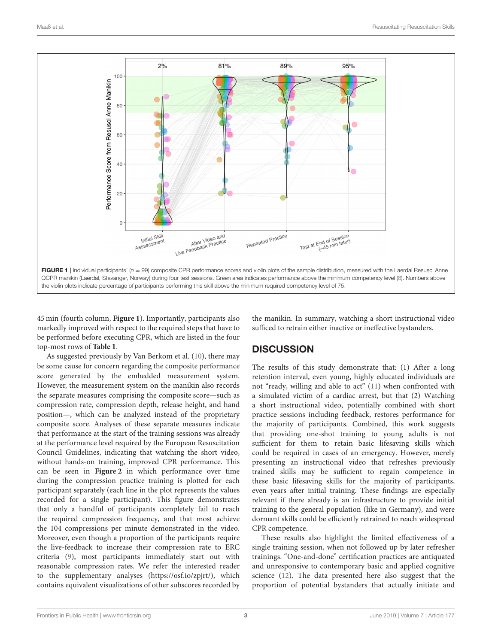

<span id="page-2-0"></span>45 min (fourth column, **[Figure 1](#page-2-0)**). Importantly, participants also markedly improved with respect to the required steps that have to be performed before executing CPR, which are listed in the four top-most rows of **[Table 1](#page-3-0)**.

As suggested previously by Van Berkom et al. [\(10\)](#page-4-9), there may be some cause for concern regarding the composite performance score generated by the embedded measurement system. However, the measurement system on the manikin also records the separate measures comprising the composite score—such as compression rate, compression depth, release height, and hand position—, which can be analyzed instead of the proprietary composite score. Analyses of these separate measures indicate that performance at the start of the training sessions was already at the performance level required by the European Resuscitation Council Guidelines, indicating that watching the short video, without hands-on training, improved CPR performance. This can be seen in **[Figure 2](#page-3-1)** in which performance over time during the compression practice training is plotted for each participant separately (each line in the plot represents the values recorded for a single participant). This figure demonstrates that only a handful of participants completely fail to reach the required compression frequency, and that most achieve the 104 compressions per minute demonstrated in the video. Moreover, even though a proportion of the participants require the live-feedback to increase their compression rate to ERC criteria [\(9\)](#page-4-8), most participants immediately start out with reasonable compression rates. We refer the interested reader to the supplementary analyses [\(https://osf.io/zpjrt/\)](https://osf.io/zpjrt/), which contains equivalent visualizations of other subscores recorded by the manikin. In summary, watching a short instructional video sufficed to retrain either inactive or ineffective bystanders.

# **DISCUSSION**

The results of this study demonstrate that: (1) After a long retention interval, even young, highly educated individuals are not "ready, willing and able to act" [\(11\)](#page-4-10) when confronted with a simulated victim of a cardiac arrest, but that (2) Watching a short instructional video, potentially combined with short practice sessions including feedback, restores performance for the majority of participants. Combined, this work suggests that providing one-shot training to young adults is not sufficient for them to retain basic lifesaving skills which could be required in cases of an emergency. However, merely presenting an instructional video that refreshes previously trained skills may be sufficient to regain competence in these basic lifesaving skills for the majority of participants, even years after initial training. These findings are especially relevant if there already is an infrastructure to provide initial training to the general population (like in Germany), and were dormant skills could be efficiently retrained to reach widespread CPR competence.

These results also highlight the limited effectiveness of a single training session, when not followed up by later refresher trainings. "One-and-done" certification practices are antiquated and unresponsive to contemporary basic and applied cognitive science [\(12\)](#page-4-11). The data presented here also suggest that the proportion of potential bystanders that actually initiate and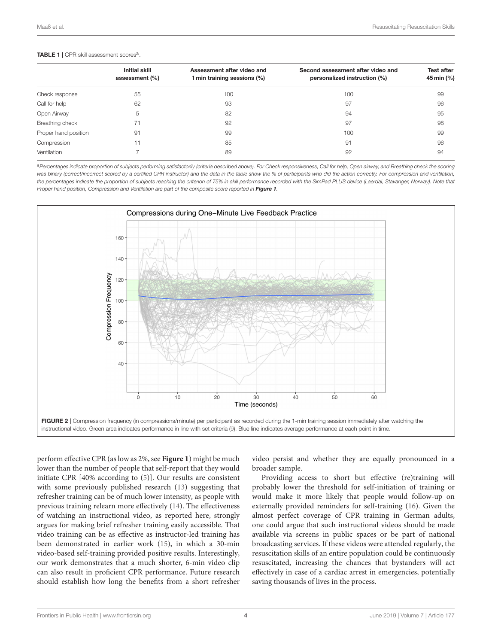#### <span id="page-3-0"></span>TABLE 1 | CPR skill assessment scores<sup>a</sup>.

|                      | <b>Initial skill</b><br>assessment (%) | Assessment after video and<br>1 min training sessions (%) | Second assessment after video and<br>personalized instruction (%) | <b>Test after</b><br>45 min (%) |
|----------------------|----------------------------------------|-----------------------------------------------------------|-------------------------------------------------------------------|---------------------------------|
| Check response       | 55                                     | 100                                                       | 100                                                               | 99                              |
| Call for help        | 62                                     | 93                                                        | 97                                                                | 96                              |
| Open Airway          | 5                                      | 82                                                        | 94                                                                | 95                              |
| Breathing check      | 71                                     | 92                                                        | 97                                                                | 98                              |
| Proper hand position | 91                                     | 99                                                        | 100                                                               | 99                              |
| Compression          | 11                                     | 85                                                        | 91                                                                | 96                              |
| Ventilation          |                                        | 89                                                        | 92                                                                | 94                              |
|                      |                                        |                                                           |                                                                   |                                 |

*<sup>a</sup>Percentages indicate proportion of subjects performing satisfactorily (criteria described above). For Check responsiveness, Call for help, Open airway, and Breathing check the scoring was binary (correct/incorrect scored by a certified CPR instructor) and the data in the table show the % of participants who did the action correctly. For compression and ventilation,* the percentages indicate the proportion of subjects reaching the criterion of 75% in skill performance recorded with the SimPad PLUS device (Laerdal, Stavanger, Norway). Note that *Proper hand position, Compression and Ventilation are part of the composite score reported in* [Figure 1](#page-2-0)*.*



<span id="page-3-1"></span>perform effective CPR (as low as 2%, see **[Figure 1](#page-2-0)**) might be much lower than the number of people that self-report that they would initiate CPR [40% according to [\(5\)](#page-4-4)]. Our results are consistent with some previously published research [\(13\)](#page-4-12) suggesting that refresher training can be of much lower intensity, as people with previous training relearn more effectively [\(14\)](#page-4-13). The effectiveness of watching an instructional video, as reported here, strongly argues for making brief refresher training easily accessible. That video training can be as effective as instructor-led training has been demonstrated in earlier work [\(15\)](#page-4-14), in which a 30-min video-based self-training provided positive results. Interestingly, our work demonstrates that a much shorter, 6-min video clip can also result in proficient CPR performance. Future research should establish how long the benefits from a short refresher video persist and whether they are equally pronounced in a broader sample.

Providing access to short but effective (re)training will probably lower the threshold for self-initiation of training or would make it more likely that people would follow-up on externally provided reminders for self-training [\(16\)](#page-4-15). Given the almost perfect coverage of CPR training in German adults, one could argue that such instructional videos should be made available via screens in public spaces or be part of national broadcasting services. If these videos were attended regularly, the resuscitation skills of an entire population could be continuously resuscitated, increasing the chances that bystanders will act effectively in case of a cardiac arrest in emergencies, potentially saving thousands of lives in the process.